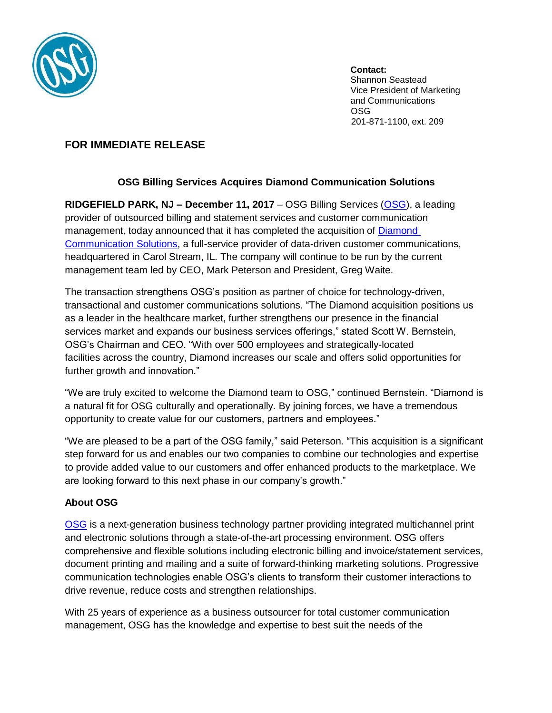

**Contact:** Shannon Seastead Vice President of Marketing and Communications OSG 201-871-1100, ext. 209

## **FOR IMMEDIATE RELEASE**

## **OSG Billing Services Acquires Diamond Communication Solutions**

**RIDGEFIELD PARK, NJ – December 11, 2017** – OSG Billing Services [\(OSG\)](http://www.osgbilling.com/), a leading provider of outsourced billing and statement services and customer communication management, today announced that it has completed the acquisition of **Diamond** [Communication Solutions,](https://www.dmsolutions.com/) a full-service provider of data-driven customer communications, headquartered in Carol Stream, IL. The company will continue to be run by the current management team led by CEO, Mark Peterson and President, Greg Waite.

The transaction strengthens OSG's position as partner of choice for technology-driven, transactional and customer communications solutions. "The Diamond acquisition positions us as a leader in the healthcare market, further strengthens our presence in the financial services market and expands our business services offerings," stated Scott W. Bernstein, OSG's Chairman and CEO. "With over 500 employees and [strategically-located](https://www.dmsolutions.com/contact-pages-12.php) [facilities](https://www.dmsolutions.com/contact-pages-12.php) across the country, Diamond increases our scale and offers solid opportunities for further growth and innovation."

"We are truly excited to welcome the Diamond team to OSG," continued Bernstein. "Diamond is a natural fit for OSG culturally and operationally. By joining forces, we have a tremendous opportunity to create value for our customers, partners and employees."

"We are pleased to be a part of the OSG family," said Peterson. "This acquisition is a significant step forward for us and enables our two companies to combine our technologies and expertise to provide added value to our customers and offer enhanced products to the marketplace. We are looking forward to this next phase in our company's growth."

## **About OSG**

[OSG](http://www.osgbilling.com/) is a next-generation business technology partner providing integrated multichannel print and electronic solutions through a state-of-the-art processing environment. OSG offers comprehensive and flexible solutions including electronic billing and invoice/statement services, document printing and mailing and a suite of forward-thinking marketing solutions. Progressive communication technologies enable OSG's clients to transform their customer interactions to drive revenue, reduce costs and strengthen relationships.

With 25 years of experience as a business outsourcer for total customer communication management, OSG has the knowledge and expertise to best suit the needs of the